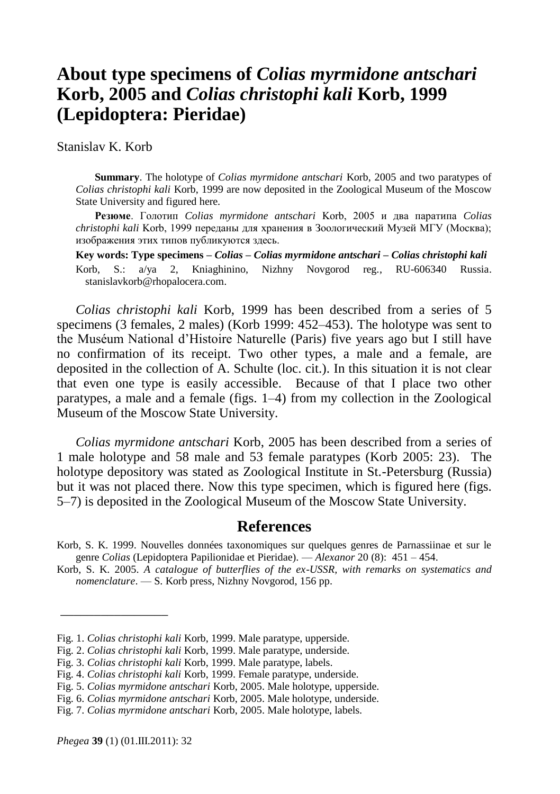## **About type specimens of** *Colias myrmidone antschari* **Korb, 2005 and** *Colias christophi kali* **Korb, 1999 (Lepidoptera: Pieridae)**

Stanislav K. Korb

**Summary**. The holotype of *Colias myrmidone antschari* Korb, 2005 and two paratypes of *Colias christophi kali* Korb, 1999 are now deposited in the Zoological Museum of the Moscow State University and figured here.

**Резюме**. Голотип *Colias myrmidone antschari* Korb, 2005 и два паратипа *Colias christophi kali* Korb, 1999 переданы для хранения в Зоологический Музей МГУ (Москва); изображения этих типов публикуются здесь.

**Key words: Type specimens –** *Colias* **–** *Colias myrmidone antschari* **–** *Colias christophi kali* Korb, S.: a/ya 2, Kniaghinino, Nizhny Novgorod reg., RU-606340 Russia. stanislavkorb@rhopalocera.com.

*Colias christophi kali* Korb, 1999 has been described from a series of 5 specimens (3 females, 2 males) (Korb 1999: 452–453). The holotype was sent to the Muséum National d'Histoire Naturelle (Paris) five years ago but I still have no confirmation of its receipt. Two other types, a male and a female, are deposited in the collection of A. Schulte (loc. cit.). In this situation it is not clear that even one type is easily accessible. Because of that I place two other paratypes, a male and a female (figs. 1–4) from my collection in the Zoological Museum of the Moscow State University.

*Colias myrmidone antschari* Korb, 2005 has been described from a series of 1 male holotype and 58 male and 53 female paratypes (Korb 2005: 23). The holotype depository was stated as Zoological Institute in St.-Petersburg (Russia) but it was not placed there. Now this type specimen, which is figured here (figs. 5–7) is deposited in the Zoological Museum of the Moscow State University.

## **References**

Korb, S. K. 2005. *A catalogue of butterflies of the ex-USSR, with remarks on systematics and nomenclature*. — S. Korb press, Nizhny Novgorod, 156 pp.

\_\_\_\_\_\_\_\_\_\_\_\_\_\_\_\_

Korb, S. K. 1999. Nouvelles données taxonomiques sur quelques genres de Parnassiinae et sur le genre *Colias* (Lepidoptera Papilionidae et Pieridae). — *Alexanor* 20 (8): 451 – 454.

Fig. 1. *Colias christophi kali* Korb, 1999. Male paratype, upperside.

Fig. 2. *Colias christophi kali* Korb, 1999. Male paratype, underside.

Fig. 3. *Colias christophi kali* Korb, 1999. Male paratype, labels.

Fig. 4. *Colias christophi kali* Korb, 1999. Female paratype, underside.

Fig. 5. *Colias myrmidone antschari* Korb, 2005. Male holotype, upperside.

Fig. 6. *Colias myrmidone antschari* Korb, 2005. Male holotype, underside.

Fig. 7. *Colias myrmidone antschari* Korb, 2005. Male holotype, labels.